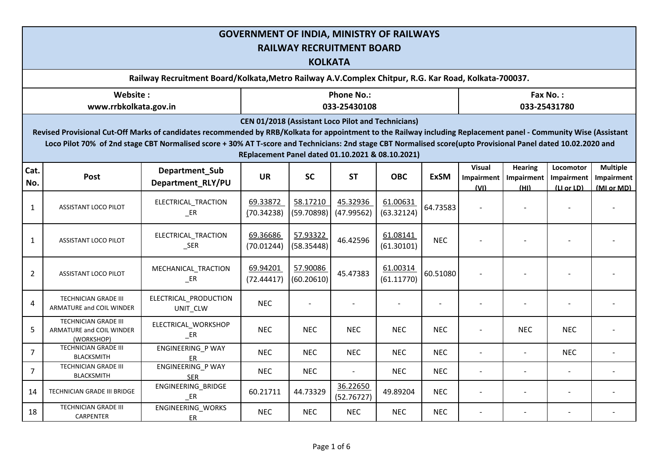|                                                                                                                                                                                                                                                                                                                                                                                                                                                     | <b>GOVERNMENT OF INDIA, MINISTRY OF RAILWAYS</b><br><b>RAILWAY RECRUITMENT BOARD</b><br><b>KOLKATA</b> |                                     |                        |                        |                                   |                        |             |                                            |                                      |                                       |                                             |  |  |  |  |
|-----------------------------------------------------------------------------------------------------------------------------------------------------------------------------------------------------------------------------------------------------------------------------------------------------------------------------------------------------------------------------------------------------------------------------------------------------|--------------------------------------------------------------------------------------------------------|-------------------------------------|------------------------|------------------------|-----------------------------------|------------------------|-------------|--------------------------------------------|--------------------------------------|---------------------------------------|---------------------------------------------|--|--|--|--|
|                                                                                                                                                                                                                                                                                                                                                                                                                                                     | Railway Recruitment Board/Kolkata, Metro Railway A.V. Complex Chitpur, R.G. Kar Road, Kolkata-700037.  |                                     |                        |                        |                                   |                        |             |                                            |                                      |                                       |                                             |  |  |  |  |
|                                                                                                                                                                                                                                                                                                                                                                                                                                                     | Website:<br>www.rrbkolkata.gov.in                                                                      |                                     |                        |                        | <b>Phone No.:</b><br>033-25430108 |                        |             |                                            |                                      | Fax No.:<br>033-25431780              |                                             |  |  |  |  |
| <b>CEN 01/2018 (Assistant Loco Pilot and Technicians)</b><br>Revised Provisional Cut-Off Marks of candidates recommended by RRB/Kolkata for appointment to the Railway including Replacement panel - Community Wise (Assistant<br>Loco Pilot 70% of 2nd stage CBT Normalised score + 30% AT T-score and Technicians: 2nd stage CBT Normalised score(upto Provisional Panel dated 10.02.2020 and<br>REplacement Panel dated 01.10.2021 & 08.10.2021) |                                                                                                        |                                     |                        |                        |                                   |                        |             |                                            |                                      |                                       |                                             |  |  |  |  |
| Cat.<br>No.                                                                                                                                                                                                                                                                                                                                                                                                                                         | Post                                                                                                   | Department Sub<br>Department RLY/PU | <b>UR</b>              | <b>SC</b>              | <b>ST</b>                         | <b>OBC</b>             | <b>ExSM</b> | <b>Visual</b><br><b>Impairment</b><br>(VI) | <b>Hearing</b><br>Impairment<br>(HI) | Locomotor<br>Impairment<br>(Li or LD) | <b>Multiple</b><br>Impairment<br>(MI or MD) |  |  |  |  |
| $\mathbf{1}$                                                                                                                                                                                                                                                                                                                                                                                                                                        | ASSISTANT LOCO PILOT                                                                                   | ELECTRICAL_TRACTION<br>$E$ R        | 69.33872<br>(70.34238) | 58.17210<br>(59.70898) | 45.32936<br>(47.99562)            | 61.00631<br>(63.32124) | 64.73583    |                                            |                                      |                                       |                                             |  |  |  |  |
| $\mathbf{1}$                                                                                                                                                                                                                                                                                                                                                                                                                                        | ASSISTANT LOCO PILOT                                                                                   | ELECTRICAL_TRACTION<br>$\_SER$      | 69.36686<br>(70.01244) | 57.93322<br>(58.35448) | 46.42596                          | 61.08141<br>(61.30101) | <b>NEC</b>  |                                            |                                      |                                       |                                             |  |  |  |  |
| $\overline{2}$                                                                                                                                                                                                                                                                                                                                                                                                                                      | ASSISTANT LOCO PILOT                                                                                   | MECHANICAL_TRACTION<br>ER           | 69.94201<br>(72.44417) | 57.90086<br>(60.20610) | 45.47383                          | 61.00314<br>(61.11770) | 60.51080    |                                            |                                      |                                       |                                             |  |  |  |  |
| $\overline{4}$                                                                                                                                                                                                                                                                                                                                                                                                                                      | <b>TECHNICIAN GRADE III</b><br>ARMATURE and COIL WINDER                                                | ELECTRICAL_PRODUCTION<br>UNIT_CLW   | <b>NEC</b>             |                        |                                   |                        |             |                                            |                                      |                                       |                                             |  |  |  |  |
| 5                                                                                                                                                                                                                                                                                                                                                                                                                                                   | <b>TECHNICIAN GRADE III</b><br>ARMATURE and COIL WINDER<br>(WORKSHOP)                                  | ELECTRICAL_WORKSHOP<br>$E$ R        | <b>NEC</b>             | <b>NEC</b>             | <b>NEC</b>                        | <b>NEC</b>             | <b>NEC</b>  |                                            | <b>NEC</b>                           | <b>NEC</b>                            |                                             |  |  |  |  |
| $\overline{7}$                                                                                                                                                                                                                                                                                                                                                                                                                                      | <b>TECHNICIAN GRADE III</b><br><b>BLACKSMITH</b>                                                       | ENGINEERING_P WAY<br>ER             | <b>NEC</b>             | <b>NEC</b>             | <b>NEC</b>                        | <b>NEC</b>             | <b>NEC</b>  |                                            |                                      | <b>NEC</b>                            |                                             |  |  |  |  |
| $\overline{7}$                                                                                                                                                                                                                                                                                                                                                                                                                                      | <b>TECHNICIAN GRADE III</b><br><b>BLACKSMITH</b>                                                       | ENGINEERING_P WAY<br><b>SER</b>     | <b>NEC</b>             | <b>NEC</b>             |                                   | <b>NEC</b>             | <b>NEC</b>  | $\overline{a}$                             |                                      | $\overline{a}$                        |                                             |  |  |  |  |
| 14                                                                                                                                                                                                                                                                                                                                                                                                                                                  | TECHNICIAN GRADE III BRIDGE                                                                            | ENGINEERING_BRIDGE<br>ER            | 60.21711               | 44.73329               | 36.22650<br>(52.76727)            | 49.89204               | <b>NEC</b>  | $\overline{\phantom{0}}$                   |                                      | $\sim$                                |                                             |  |  |  |  |
| 18                                                                                                                                                                                                                                                                                                                                                                                                                                                  | TECHNICIAN GRADE III<br>CARPENTER                                                                      | ENGINEERING_WORKS<br>ER             | <b>NEC</b>             | NEC.                   | <b>NEC</b>                        | NEC.                   | <b>NEC</b>  | $\overline{\phantom{a}}$                   |                                      |                                       |                                             |  |  |  |  |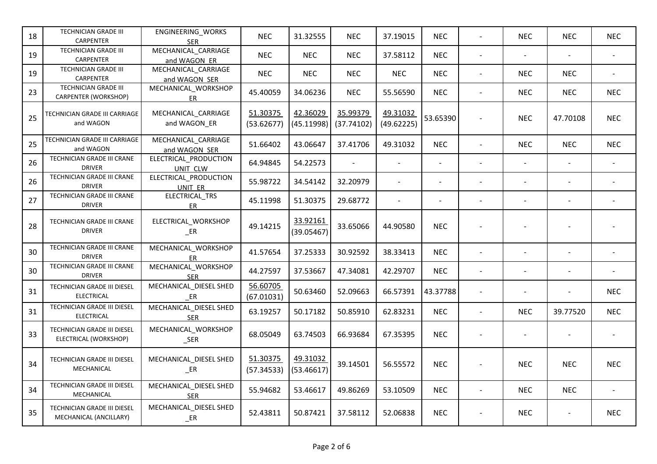| 18 | TECHNICIAN GRADE III<br><b>CARPENTER</b>              | ENGINEERING_WORKS<br><b>SER</b>      | <b>NEC</b>             | 31.32555               | <b>NEC</b>             | 37.19015               | <b>NEC</b>     |                          | <b>NEC</b>               | <b>NEC</b>     | <b>NEC</b>               |
|----|-------------------------------------------------------|--------------------------------------|------------------------|------------------------|------------------------|------------------------|----------------|--------------------------|--------------------------|----------------|--------------------------|
| 19 | TECHNICIAN GRADE III<br>CARPENTER                     | MECHANICAL_CARRIAGE<br>and WAGON ER  | <b>NEC</b>             | <b>NEC</b>             | <b>NEC</b>             | 37.58112               | <b>NEC</b>     | $\blacksquare$           | $\blacksquare$           |                | $\overline{\phantom{a}}$ |
| 19 | TECHNICIAN GRADE III<br><b>CARPENTER</b>              | MECHANICAL_CARRIAGE<br>and WAGON SER | <b>NEC</b>             | <b>NEC</b>             | <b>NEC</b>             | <b>NEC</b>             | <b>NEC</b>     | $\blacksquare$           | <b>NEC</b>               | <b>NEC</b>     | $\blacksquare$           |
| 23 | TECHNICIAN GRADE III<br>CARPENTER (WORKSHOP)          | MECHANICAL_WORKSHOP<br>ER            | 45.40059               | 34.06236               | <b>NEC</b>             | 55.56590               | <b>NEC</b>     |                          | <b>NEC</b>               | <b>NEC</b>     | <b>NEC</b>               |
| 25 | TECHNICIAN GRADE III CARRIAGE<br>and WAGON            | MECHANICAL_CARRIAGE<br>and WAGON_ER  | 51.30375<br>(53.62677) | 42.36029<br>(45.11998) | 35.99379<br>(37.74102) | 49.31032<br>(49.62225) | 53.65390       |                          | <b>NEC</b>               | 47.70108       | <b>NEC</b>               |
| 25 | TECHNICIAN GRADE III CARRIAGE<br>and WAGON            | MECHANICAL_CARRIAGE<br>and WAGON SER | 51.66402               | 43.06647               | 37.41706               | 49.31032               | <b>NEC</b>     |                          | <b>NEC</b>               | <b>NEC</b>     | <b>NEC</b>               |
| 26 | TECHNICIAN GRADE III CRANE<br><b>DRIVER</b>           | ELECTRICAL_PRODUCTION<br>UNIT CLW    | 64.94845               | 54.22573               | $\blacksquare$         | $\blacksquare$         | $\sim$         |                          | $\overline{\phantom{a}}$ | $\sim$         |                          |
| 26 | TECHNICIAN GRADE III CRANE<br><b>DRIVER</b>           | ELECTRICAL_PRODUCTION<br>UNIT ER     | 55.98722               | 34.54142               | 32.20979               |                        |                |                          |                          |                |                          |
| 27 | TECHNICIAN GRADE III CRANE<br><b>DRIVER</b>           | ELECTRICAL_TRS<br>ER                 | 45.11998               | 51.30375               | 29.68772               |                        | $\blacksquare$ |                          | $\overline{a}$           | $\blacksquare$ |                          |
| 28 | TECHNICIAN GRADE III CRANE<br><b>DRIVER</b>           | ELECTRICAL_WORKSHOP<br>$E$ R         | 49.14215               | 33.92161<br>(39.05467) | 33.65066               | 44.90580               | <b>NEC</b>     |                          |                          |                |                          |
| 30 | TECHNICIAN GRADE III CRANE<br><b>DRIVER</b>           | MECHANICAL_WORKSHOP<br>ER            | 41.57654               | 37.25333               | 30.92592               | 38.33413               | <b>NEC</b>     |                          | $\overline{a}$           |                |                          |
| 30 | TECHNICIAN GRADE III CRANE<br><b>DRIVER</b>           | MECHANICAL_WORKSHOP<br><b>SER</b>    | 44.27597               | 37.53667               | 47.34081               | 42.29707               | <b>NEC</b>     |                          | $\overline{a}$           |                |                          |
| 31 | TECHNICIAN GRADE III DIESEL<br><b>ELECTRICAL</b>      | MECHANICAL_DIESEL SHED<br>ER         | 56.60705<br>(67.01031) | 50.63460               | 52.09663               | 66.57391               | 43.37788       |                          | $\blacksquare$           |                | <b>NEC</b>               |
| 31 | TECHNICIAN GRADE III DIESEL<br>ELECTRICAL             | MECHANICAL_DIESEL SHED<br><b>SER</b> | 63.19257               | 50.17182               | 50.85910               | 62.83231               | <b>NEC</b>     |                          | <b>NEC</b>               | 39.77520       | <b>NEC</b>               |
| 33 | TECHNICIAN GRADE III DIESEL<br>ELECTRICAL (WORKSHOP)  | MECHANICAL_WORKSHOP<br>$\_SER$       | 68.05049               | 63.74503               | 66.93684               | 67.35395               | <b>NEC</b>     |                          | $\overline{\phantom{a}}$ |                |                          |
| 34 | TECHNICIAN GRADE III DIESEL<br>MECHANICAL             | MECHANICAL_DIESEL SHED<br>$E$ R      | 51.30375<br>(57.34533) | 49.31032<br>(53.46617) | 39.14501               | 56.55572               | <b>NEC</b>     |                          | <b>NEC</b>               | <b>NEC</b>     | <b>NEC</b>               |
| 34 | TECHNICIAN GRADE III DIESEL<br>MECHANICAL             | MECHANICAL_DIESEL SHED<br><b>SER</b> | 55.94682               | 53.46617               | 49.86269               | 53.10509               | <b>NEC</b>     | $\overline{\phantom{a}}$ | <b>NEC</b>               | <b>NEC</b>     | $\overline{a}$           |
| 35 | TECHNICIAN GRADE III DIESEL<br>MECHANICAL (ANCILLARY) | MECHANICAL_DIESEL SHED<br>$E$ R      | 52.43811               | 50.87421               | 37.58112               | 52.06838               | <b>NEC</b>     |                          | <b>NEC</b>               |                | <b>NEC</b>               |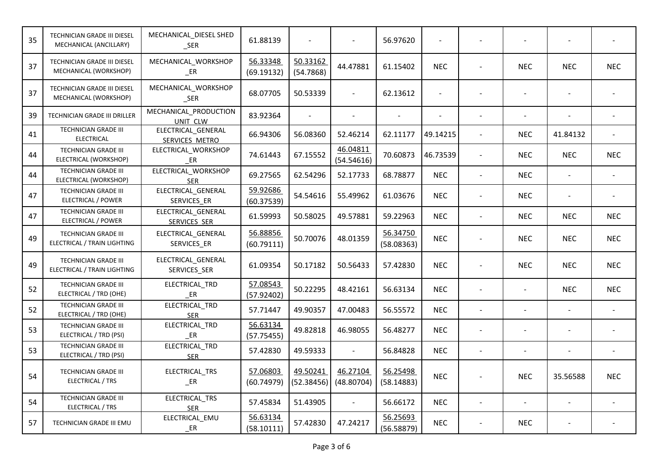| 35 | TECHNICIAN GRADE III DIESEL<br>MECHANICAL (ANCILLARY)      | MECHANICAL_DIESEL SHED<br>$\_SER$         | 61.88139               |                        |                          | 56.97620               |            |                              |                          |            |
|----|------------------------------------------------------------|-------------------------------------------|------------------------|------------------------|--------------------------|------------------------|------------|------------------------------|--------------------------|------------|
| 37 | TECHNICIAN GRADE III DIESEL<br>MECHANICAL (WORKSHOP)       | MECHANICAL_WORKSHOP<br>$E$ R              | 56.33348<br>(69.19132) | 50.33162<br>(54.7868)  | 44.47881                 | 61.15402               | <b>NEC</b> | <b>NEC</b>                   | <b>NEC</b>               | <b>NEC</b> |
| 37 | TECHNICIAN GRADE III DIESEL<br>MECHANICAL (WORKSHOP)       | MECHANICAL_WORKSHOP<br>$\_SER$            | 68.07705               | 50.53339               | $\blacksquare$           | 62.13612               |            |                              |                          |            |
| 39 | TECHNICIAN GRADE III DRILLER                               | MECHANICAL_PRODUCTION<br>UNIT CLW         | 83.92364               |                        |                          |                        |            |                              |                          |            |
| 41 | TECHNICIAN GRADE III<br><b>ELECTRICAL</b>                  | ELECTRICAL_GENERAL<br>SERVICES METRO      | 66.94306               | 56.08360               | 52.46214                 | 62.11177               | 49.14215   | <b>NEC</b>                   | 41.84132                 |            |
| 44 | <b>TECHNICIAN GRADE III</b><br>ELECTRICAL (WORKSHOP)       | ELECTRICAL_WORKSHOP<br>$E$ R              | 74.61443               | 67.15552               | 46.04811<br>(54.54616)   | 70.60873               | 46.73539   | <b>NEC</b>                   | <b>NEC</b>               | <b>NEC</b> |
| 44 | TECHNICIAN GRADE III<br>ELECTRICAL (WORKSHOP)              | ELECTRICAL_WORKSHOP<br><b>SER</b>         | 69.27565               | 62.54296               | 52.17733                 | 68.78877               | <b>NEC</b> | <b>NEC</b>                   | $\overline{\phantom{a}}$ |            |
| 47 | <b>TECHNICIAN GRADE III</b><br>ELECTRICAL / POWER          | ELECTRICAL_GENERAL<br>SERVICES_ER         | 59.92686<br>(60.37539) | 54.54616               | 55.49962                 | 61.03676               | <b>NEC</b> | <b>NEC</b>                   |                          |            |
| 47 | <b>TECHNICIAN GRADE III</b><br>ELECTRICAL / POWER          | ELECTRICAL_GENERAL<br><b>SERVICES SER</b> | 61.59993               | 50.58025               | 49.57881                 | 59.22963               | <b>NEC</b> | <b>NEC</b>                   | <b>NEC</b>               | <b>NEC</b> |
| 49 | <b>TECHNICIAN GRADE III</b><br>ELECTRICAL / TRAIN LIGHTING | ELECTRICAL GENERAL<br>SERVICES ER         | 56.88856<br>(60.79111) | 50.70076               | 48.01359                 | 56.34750<br>(58.08363) | <b>NEC</b> | <b>NEC</b>                   | <b>NEC</b>               | <b>NEC</b> |
| 49 | <b>TECHNICIAN GRADE III</b><br>ELECTRICAL / TRAIN LIGHTING | ELECTRICAL_GENERAL<br>SERVICES_SER        | 61.09354               | 50.17182               | 50.56433                 | 57.42830               | <b>NEC</b> | <b>NEC</b>                   | <b>NEC</b>               | <b>NEC</b> |
| 52 | <b>TECHNICIAN GRADE III</b><br>ELECTRICAL / TRD (OHE)      | ELECTRICAL_TRD<br>$E$ R                   | 57.08543<br>(57.92402) | 50.22295               | 48.42161                 | 56.63134               | <b>NEC</b> | $\qquad \qquad \blacksquare$ | <b>NEC</b>               | <b>NEC</b> |
| 52 | <b>TECHNICIAN GRADE III</b><br>ELECTRICAL / TRD (OHE)      | ELECTRICAL_TRD<br><b>SER</b>              | 57.71447               | 49.90357               | 47.00483                 | 56.55572               | <b>NEC</b> |                              |                          |            |
| 53 | TECHNICIAN GRADE III<br>ELECTRICAL / TRD (PSI)             | ELECTRICAL_TRD<br>$E$ R                   | 56.63134<br>(57.75455) | 49.82818               | 46.98055                 | 56.48277               | <b>NEC</b> |                              |                          |            |
| 53 | TECHNICIAN GRADE III<br>ELECTRICAL / TRD (PSI)             | ELECTRICAL TRD<br><b>SER</b>              | 57.42830               | 49.59333               | $\overline{\phantom{a}}$ | 56.84828               | <b>NEC</b> | $\overline{a}$               |                          |            |
| 54 | TECHNICIAN GRADE III<br>ELECTRICAL / TRS                   | ELECTRICAL_TRS<br>$E$ R                   | 57.06803<br>(60.74979) | 49.50241<br>(52.38456) | 46.27104<br>(48.80704)   | 56.25498<br>(58.14883) | <b>NEC</b> | <b>NEC</b>                   | 35.56588                 | <b>NEC</b> |
| 54 | TECHNICIAN GRADE III<br>ELECTRICAL / TRS                   | ELECTRICAL_TRS<br><b>SER</b>              | 57.45834               | 51.43905               | $\blacksquare$           | 56.66172               | <b>NEC</b> | $\overline{\phantom{a}}$     | $\overline{\phantom{a}}$ |            |
| 57 | TECHNICIAN GRADE III EMU                                   | ELECTRICAL_EMU<br>$E$ R                   | 56.63134<br>(58.10111) | 57.42830               | 47.24217                 | 56.25693<br>(56.58879) | <b>NEC</b> | <b>NEC</b>                   |                          |            |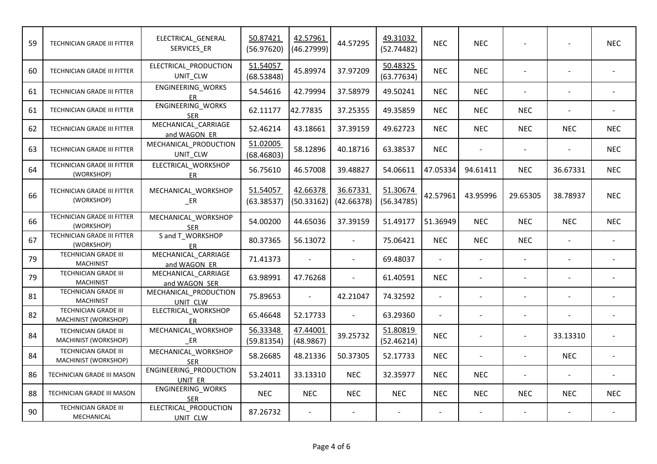| 59 | TECHNICIAN GRADE III FITTER                         | ELECTRICAL_GENERAL<br>SERVICES_ER    | 50.87421<br>(56.97620) | 42.57961<br>(46.27999)      | 44.57295                 | 49.31032<br>(52.74482) | <b>NEC</b>     | <b>NEC</b> |                |                          | <b>NEC</b> |
|----|-----------------------------------------------------|--------------------------------------|------------------------|-----------------------------|--------------------------|------------------------|----------------|------------|----------------|--------------------------|------------|
| 60 | TECHNICIAN GRADE III FITTER                         | ELECTRICAL_PRODUCTION<br>UNIT_CLW    | 51.54057<br>(68.53848) | 45.89974                    | 37.97209                 | 50.48325<br>(63.77634) | <b>NEC</b>     | <b>NEC</b> |                |                          |            |
| 61 | TECHNICIAN GRADE III FITTER                         | ENGINEERING_WORKS<br><b>ER</b>       | 54.54616               | 42.79994                    | 37.58979                 | 49.50241               | <b>NEC</b>     | <b>NEC</b> | $\blacksquare$ | $\overline{a}$           |            |
| 61 | TECHNICIAN GRADE III FITTER                         | ENGINEERING_WORKS<br><b>SER</b>      | 62.11177               | 42.77835                    | 37.25355                 | 49.35859               | <b>NEC</b>     | <b>NEC</b> | <b>NEC</b>     | $\sim$                   |            |
| 62 | TECHNICIAN GRADE III FITTER                         | MECHANICAL CARRIAGE<br>and WAGON ER  | 52.46214               | 43.18661                    | 37.39159                 | 49.62723               | <b>NEC</b>     | <b>NEC</b> | <b>NEC</b>     | <b>NEC</b>               | <b>NEC</b> |
| 63 | TECHNICIAN GRADE III FITTER                         | MECHANICAL_PRODUCTION<br>UNIT_CLW    | 51.02005<br>(68.46803) | 58.12896                    | 40.18716                 | 63.38537               | <b>NEC</b>     |            |                |                          | <b>NEC</b> |
| 64 | <b>TECHNICIAN GRADE III FITTER</b><br>(WORKSHOP)    | ELECTRICAL_WORKSHOP<br>ER.           | 56.75610               | 46.57008                    | 39.48827                 | 54.06611               | 47.05334       | 94.61411   | <b>NEC</b>     | 36.67331                 | <b>NEC</b> |
| 66 | TECHNICIAN GRADE III FITTER<br>(WORKSHOP)           | MECHANICAL_WORKSHOP<br>$E$ R         | 51.54057<br>(63.38537) | 42.66378<br>(50.33162)      | 36.67331<br>(42.66378)   | 51.30674<br>(56.34785) | 42.57961       | 43.95996   | 29.65305       | 38.78937                 | NEC.       |
| 66 | TECHNICIAN GRADE III FITTER<br>(WORKSHOP)           | MECHANICAL_WORKSHOP<br><b>SER</b>    | 54.00200               | 44.65036                    | 37.39159                 | 51.49177               | 51.36949       | <b>NEC</b> | <b>NEC</b>     | <b>NEC</b>               | <b>NEC</b> |
| 67 | TECHNICIAN GRADE III FITTER<br>(WORKSHOP)           | S and T WORKSHOP<br><b>ER</b>        | 80.37365               | 56.13072                    | $\mathbb{Z}^+$           | 75.06421               | <b>NEC</b>     | <b>NEC</b> | <b>NEC</b>     |                          |            |
| 79 | TECHNICIAN GRADE III<br><b>MACHINIST</b>            | MECHANICAL CARRIAGE<br>and WAGON ER  | 71.41373               | $\mathcal{L}^{\mathcal{A}}$ | $\overline{\phantom{a}}$ | 69.48037               |                |            | $\blacksquare$ |                          |            |
| 79 | <b>TECHNICIAN GRADE III</b><br><b>MACHINIST</b>     | MECHANICAL_CARRIAGE<br>and WAGON SER | 63.98991               | 47.76268                    |                          | 61.40591               | <b>NEC</b>     |            |                |                          |            |
| 81 | <b>TECHNICIAN GRADE III</b><br><b>MACHINIST</b>     | MECHANICAL_PRODUCTION<br>UNIT CLW    | 75.89653               | $\blacksquare$              | 42.21047                 | 74.32592               | $\blacksquare$ |            |                | $\overline{\phantom{a}}$ |            |
| 82 | TECHNICIAN GRADE III<br>MACHINIST (WORKSHOP)        | ELECTRICAL_WORKSHOP<br><b>ER</b>     | 65.46648               | 52.17733                    | $\sim$                   | 63.29360               |                |            | $\overline{a}$ |                          |            |
| 84 | <b>TECHNICIAN GRADE III</b><br>MACHINIST (WORKSHOP) | MECHANICAL WORKSHOP<br>ER            | 56.33348<br>(59.81354) | 47.44001<br>(48.9867)       | 39.25732                 | 51.80819<br>(52.46214) | <b>NEC</b>     |            |                | 33.13310                 |            |
| 84 | <b>TECHNICIAN GRADE III</b><br>MACHINIST (WORKSHOP) | MECHANICAL_WORKSHOP<br><b>SER</b>    | 58.26685               | 48.21336                    | 50.37305                 | 52.17733               | <b>NEC</b>     |            | $\sim$         | <b>NEC</b>               |            |
| 86 | TECHNICIAN GRADE III MASON                          | ENGINEERING_PRODUCTION<br>UNIT ER    | 53.24011               | 33.13310                    | <b>NEC</b>               | 32.35977               | <b>NEC</b>     | <b>NEC</b> |                |                          |            |
| 88 | TECHNICIAN GRADE III MASON                          | ENGINEERING_WORKS<br><b>SER</b>      | <b>NEC</b>             | <b>NEC</b>                  | <b>NEC</b>               | <b>NEC</b>             | <b>NEC</b>     | <b>NEC</b> | <b>NEC</b>     | <b>NEC</b>               | <b>NEC</b> |
| 90 | <b>TECHNICIAN GRADE III</b><br>MECHANICAL           | ELECTRICAL_PRODUCTION<br>UNIT CLW    | 87.26732               | $\blacksquare$              |                          | $\sim$                 |                |            | $\blacksquare$ |                          |            |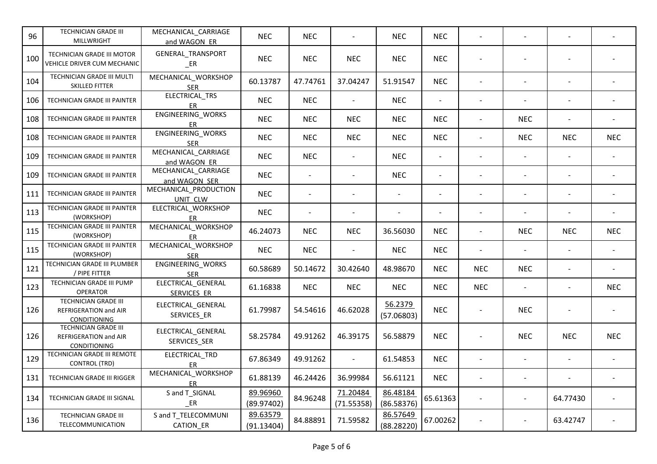| 96  | TECHNICIAN GRADE III<br>MILLWRIGHT                            | MECHANICAL_CARRIAGE<br>and WAGON ER      | <b>NEC</b>             | <b>NEC</b>     |                          | <b>NEC</b>             | <b>NEC</b>               |                          |                |                |            |
|-----|---------------------------------------------------------------|------------------------------------------|------------------------|----------------|--------------------------|------------------------|--------------------------|--------------------------|----------------|----------------|------------|
| 100 | TECHNICIAN GRADE III MOTOR<br>VEHICLE DRIVER CUM MECHANIC     | GENERAL_TRANSPORT<br>$E$ R               | <b>NEC</b>             | <b>NEC</b>     | <b>NEC</b>               | <b>NEC</b>             | <b>NEC</b>               |                          |                |                |            |
| 104 | TECHNICIAN GRADE III MULTI<br>SKILLED FITTER                  | MECHANICAL_WORKSHOP<br><b>SER</b>        | 60.13787               | 47.74761       | 37.04247                 | 51.91547               | <b>NEC</b>               |                          |                | $\overline{a}$ |            |
| 106 | TECHNICIAN GRADE III PAINTER                                  | ELECTRICAL_TRS<br>ER                     | <b>NEC</b>             | <b>NEC</b>     | $\omega$                 | <b>NEC</b>             |                          |                          |                |                |            |
| 108 | TECHNICIAN GRADE III PAINTER                                  | ENGINEERING_WORKS<br>ER                  | <b>NEC</b>             | <b>NEC</b>     | <b>NEC</b>               | <b>NEC</b>             | <b>NEC</b>               |                          | <b>NEC</b>     |                |            |
| 108 | TECHNICIAN GRADE III PAINTER                                  | ENGINEERING_WORKS<br><b>SER</b>          | <b>NEC</b>             | <b>NEC</b>     | <b>NEC</b>               | <b>NEC</b>             | <b>NEC</b>               |                          | <b>NEC</b>     | <b>NEC</b>     | <b>NEC</b> |
| 109 | TECHNICIAN GRADE III PAINTER                                  | MECHANICAL_CARRIAGE<br>and WAGON ER      | <b>NEC</b>             | <b>NEC</b>     | $\overline{\phantom{a}}$ | <b>NEC</b>             | $\overline{\phantom{a}}$ | $\sim$                   |                |                |            |
| 109 | TECHNICIAN GRADE III PAINTER                                  | MECHANICAL_CARRIAGE<br>and WAGON SER     | <b>NEC</b>             | $\blacksquare$ | $\overline{\phantom{a}}$ | <b>NEC</b>             | $\blacksquare$           | $\overline{\phantom{a}}$ |                | $\blacksquare$ |            |
| 111 | TECHNICIAN GRADE III PAINTER                                  | MECHANICAL_PRODUCTION<br>UNIT CLW        | <b>NEC</b>             | $\sim$         | $\overline{a}$           |                        |                          |                          |                | $\overline{a}$ |            |
| 113 | TECHNICIAN GRADE III PAINTER<br>(WORKSHOP)                    | ELECTRICAL_WORKSHOP<br>ER                | <b>NEC</b>             |                |                          |                        |                          |                          |                |                |            |
| 115 | TECHNICIAN GRADE III PAINTER<br>(WORKSHOP)                    | MECHANICAL_WORKSHOP<br>ER.               | 46.24073               | <b>NEC</b>     | <b>NEC</b>               | 36.56030               | <b>NEC</b>               | $\sim$                   | <b>NEC</b>     | <b>NEC</b>     | <b>NEC</b> |
| 115 | TECHNICIAN GRADE III PAINTER<br>(WORKSHOP)                    | MECHANICAL_WORKSHOP<br><b>SER</b>        | <b>NEC</b>             | <b>NEC</b>     | $\blacksquare$           | <b>NEC</b>             | <b>NEC</b>               | $\overline{\phantom{a}}$ | $\overline{a}$ | $\mathbf{r}$   |            |
| 121 | <b>TECHNICIAN GRADE III PLUMBER</b><br>/ PIPE FITTER          | ENGINEERING_WORKS<br><b>SER</b>          | 60.58689               | 50.14672       | 30.42640                 | 48.98670               | <b>NEC</b>               | <b>NEC</b>               | <b>NEC</b>     | $\blacksquare$ |            |
| 123 | TECHNICIAN GRADE III PUMP<br>OPERATOR                         | ELECTRICAL_GENERAL<br><b>SERVICES ER</b> | 61.16838               | <b>NEC</b>     | <b>NEC</b>               | <b>NEC</b>             | <b>NEC</b>               | <b>NEC</b>               |                | $\sim$         | <b>NEC</b> |
| 126 | TECHNICIAN GRADE III<br>REFRIGERATION and AIR<br>CONDITIONING | ELECTRICAL_GENERAL<br>SERVICES_ER        | 61.79987               | 54.54616       | 46.62028                 | 56.2379<br>(57.06803)  | <b>NEC</b>               |                          | <b>NEC</b>     |                |            |
| 126 | TECHNICIAN GRADE III<br>REFRIGERATION and AIR<br>CONDITIONING | ELECTRICAL_GENERAL<br>SERVICES_SER       | 58.25784               | 49.91262       | 46.39175                 | 56.58879               | <b>NEC</b>               |                          | <b>NEC</b>     | <b>NEC</b>     | <b>NEC</b> |
| 129 | TECHNICIAN GRADE III REMOTE<br><b>CONTROL (TRD)</b>           | ELECTRICAL_TRD<br>ER                     | 67.86349               | 49.91262       | $\blacksquare$           | 61.54853               | <b>NEC</b>               | $\overline{a}$           |                | $\sim$         |            |
| 131 | TECHNICIAN GRADE III RIGGER                                   | MECHANICAL_WORKSHOP<br>ER                | 61.88139               | 46.24426       | 36.99984                 | 56.61121               | <b>NEC</b>               | $\blacksquare$           |                |                |            |
| 134 | TECHNICIAN GRADE III SIGNAL                                   | S and T_SIGNAL<br>ER                     | 89.96960<br>(89.97402) | 84.96248       | 71.20484<br>(71.55358)   | 86.48184<br>(86.58376) | 65.61363                 |                          |                | 64.77430       |            |
| 136 | TECHNICIAN GRADE III<br>TELECOMMUNICATION                     | S and T_TELECOMMUNI<br>CATION_ER         | 89.63579<br>(91.13404) | 84.88891       | 71.59582                 | 86.57649<br>(88.28220) | 67.00262                 |                          |                | 63.42747       |            |